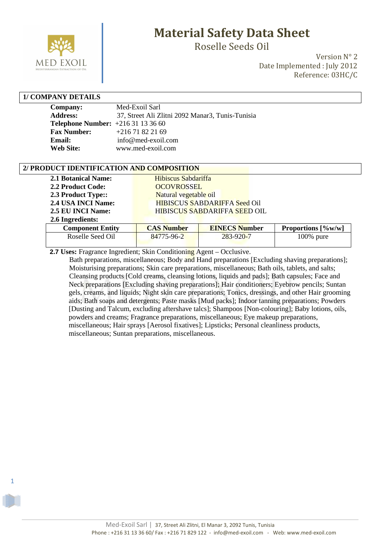

Roselle Seeds Oil

Version N° 2 Date Implemented : July 2012 Reference: 03HC/C

#### **1/ COMPANY DETAILS**

1

| <b>Company:</b>                         | Med-Exoil Sarl                                   |
|-----------------------------------------|--------------------------------------------------|
| <b>Address:</b>                         | 37, Street Ali Zlitni 2092 Manar3, Tunis-Tunisia |
| <b>Telephone Number:</b> $+21631133660$ |                                                  |
| <b>Fax Number:</b>                      | $+21671822169$                                   |
| Email:                                  | info@med-exoil.com                               |
| <b>Web Site:</b>                        | www.med-exoil.com                                |

#### **2/ PRODUCT IDENTIFICATION AND COMPOSITION**

| <b>2.1 Botanical Name:</b><br>2.2 Product Code:<br>2.3 Product Type::<br>2.4 USA INCI Name:<br>2.5 EU INCI Name:<br>2.6 Ingredients: | Hibiscus Sabdariffa<br><b>OCOVROSSEL</b><br>Natural vegetable oil | <b>HIBISCUS SABDARIFFA Seed Oil</b><br>HIBISCUS SABDARIFFA SEED OIL |                           |
|--------------------------------------------------------------------------------------------------------------------------------------|-------------------------------------------------------------------|---------------------------------------------------------------------|---------------------------|
| <b>Component Entity</b>                                                                                                              | <b>CAS Number</b>                                                 | <b>EINECS Number</b>                                                | <b>Proportions</b> [%w/w] |
| Roselle Seed Oil                                                                                                                     | 84775-96-2                                                        | $283 - 920 - 7$                                                     | $100\%$ pure              |

 **2.7 Uses:** Fragrance Ingredient; Skin Conditioning Agent – Occlusive.

 Bath preparations, miscellaneous; Body and Hand preparations [Excluding shaving preparations]; Moisturising preparations; Skin care preparations, miscellaneous; Bath oils, tablets, and salts; Cleansing products [Cold creams, cleansing lotions, liquids and pads]; Bath capsules; Face and Neck preparations [Excluding shaving preparations]; Hair conditioners; Eyebrow pencils; Suntan gels, creams, and liquids; Night skin care preparations; Tonics, dressings, and other Hair grooming aids; Bath soaps and detergents; Paste masks [Mud packs]; Indoor tanning preparations; Powders [Dusting and Talcum, excluding aftershave talcs]; Shampoos [Non-colouring]; Baby lotions, oils, powders and creams; Fragrance preparations, miscellaneous; Eye makeup preparations, miscellaneous; Hair sprays [Aerosol fixatives]; Lipsticks; Personal cleanliness products, miscellaneous; Suntan preparations, miscellaneous.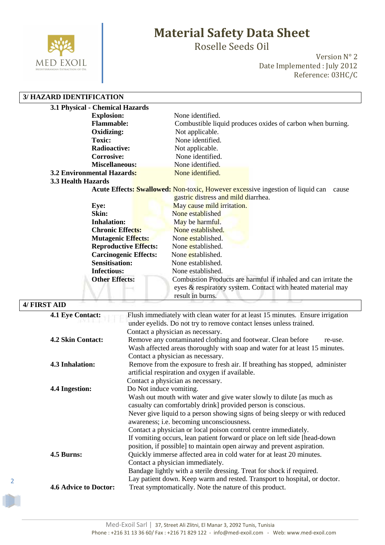

Roselle Seeds Oil

Version N° 2 Date Implemented : July 2012 Reference: 03HC/C

#### **3/ HAZARD IDENTIFICATION**

| 3.1 Physical - Chemical Hazards   |                                                                                                                                                    |
|-----------------------------------|----------------------------------------------------------------------------------------------------------------------------------------------------|
| <b>Explosion:</b>                 | None identified.                                                                                                                                   |
| <b>Flammable:</b>                 | Combustible liquid produces oxides of carbon when burning.                                                                                         |
| Oxidizing:                        | Not applicable.                                                                                                                                    |
| <b>Toxic:</b>                     | None identified.                                                                                                                                   |
| <b>Radioactive:</b>               | Not applicable.                                                                                                                                    |
| <b>Corrosive:</b>                 | None identified.                                                                                                                                   |
| <b>Miscellaneous:</b>             | None identified.                                                                                                                                   |
| <b>3.2 Environmental Hazards:</b> | None identified.                                                                                                                                   |
| 3.3 Health Hazards                |                                                                                                                                                    |
|                                   | <b>Acute Effects: Swallowed: Non-toxic, However excessive ingestion of liquid can</b><br>cause                                                     |
|                                   | gastric distress and mild diarrhea.                                                                                                                |
| Eye:                              | May cause mild irritation.                                                                                                                         |
| Skin:                             | None established                                                                                                                                   |
| <b>Inhalation:</b>                | May be harmful.                                                                                                                                    |
| <b>Chronic Effects:</b>           | None established.                                                                                                                                  |
| <b>Mutagenic Effects:</b>         | None established.                                                                                                                                  |
| <b>Reproductive Effects:</b>      | None established.                                                                                                                                  |
| <b>Carcinogenic Effects:</b>      | None established.                                                                                                                                  |
| <b>Sensitisation:</b>             | None established.                                                                                                                                  |
| <b>Infectious:</b>                | None established.                                                                                                                                  |
| <b>Other Effects:</b>             | Combustion Products are harmful if inhaled and can irritate the<br>eyes & respiratory system. Contact with heated material may<br>result in burns. |

#### **4/ FIRST AID 4.1 Eye Contact:** Flush immediately with clean water for at least 15 minutes. Ensure irrigation under eyelids. Do not try to remove contact lenses unless trained. Contact a physician as necessary. **4.2 Skin Contact:** Remove any contaminated clothing and footwear. Clean before re-use. Wash affected areas thoroughly with soap and water for at least 15 minutes. Contact a physician as necessary. **4.3 Inhalation:** Remove from the exposure to fresh air. If breathing has stopped, administer artificial respiration and oxygen if available. Contact a physician as necessary. **4.4 Ingestion:** Do Not induce vomiting. Wash out mouth with water and give water slowly to dilute [as much as casualty can comfortably drink] provided person is conscious. Never give liquid to a person showing signs of being sleepy or with reduced awareness; i.e. becoming unconsciousness. Contact a physician or local poison control centre immediately. If vomiting occurs, lean patient forward or place on left side [head-down position, if possible] to maintain open airway and prevent aspiration. **4.5 Burns:** Quickly immerse affected area in cold water for at least 20 minutes. Contact a physician immediately. Bandage lightly with a sterile dressing. Treat for shock if required. Lay patient down. Keep warm and rested. Transport to hospital, or doctor. **4.6 Advice to Doctor:** Treat symptomatically. Note the nature of this product.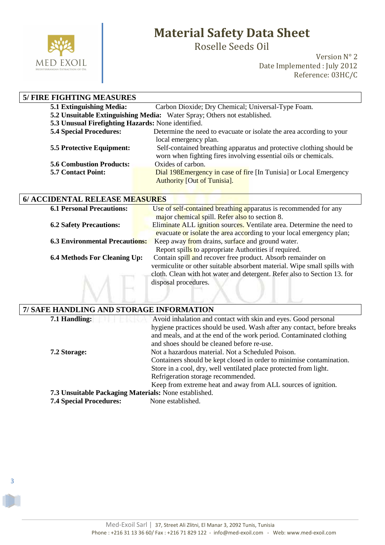

3

# **Material Safety Data Sheet**

Roselle Seeds Oil

Version N° 2 Date Implemented : July 2012 Reference: 03HC/C

| <b>5/ FIRE FIGHTING MEASURES</b>                                         |                                                                      |  |
|--------------------------------------------------------------------------|----------------------------------------------------------------------|--|
| 5.1 Extinguishing Media:                                                 | Carbon Dioxide; Dry Chemical; Universal-Type Foam.                   |  |
| 5.2 Unsuitable Extinguishing Media: Water Spray; Others not established. |                                                                      |  |
| 5.3 Unusual Firefighting Hazards: None identified.                       |                                                                      |  |
| <b>5.4 Special Procedures:</b>                                           | Determine the need to evacuate or isolate the area according to your |  |
|                                                                          | local emergency plan.                                                |  |
| <b>5.5 Protective Equipment:</b>                                         | Self-contained breathing apparatus and protective clothing should be |  |
|                                                                          | worn when fighting fires involving essential oils or chemicals.      |  |
| <b>5.6 Combustion Products:</b>                                          | Oxides of carbon.                                                    |  |
| <b>5.7 Contact Point:</b>                                                | Dial 198E mergency in case of fire [In Tunisia] or Local Emergency   |  |
|                                                                          | <b>Authority [Out of Tunisia].</b>                                   |  |

| <b>6.1 Personal Precautions:</b>      | Use of self-contained breathing apparatus is recommended for any         |
|---------------------------------------|--------------------------------------------------------------------------|
|                                       | major chemical spill. Refer also to section 8.                           |
| <b>6.2 Safety Precautions:</b>        | Eliminate ALL ignition sources. Ventilate area. Determine the need to    |
|                                       | evacuate or isolate the area according to your local emergency plan;     |
| <b>6.3 Environmental Precautions:</b> | Keep away from drains, surface and ground water.                         |
|                                       | Report spills to appropriate Authorities if required.                    |
| <b>6.4 Methods For Cleaning Up:</b>   | Contain spill and recover free product. Absorb remainder on              |
|                                       | vermiculite or other suitable absorbent material. Wipe small spills with |
|                                       | cloth. Clean with hot water and detergent. Refer also to Section 13. for |
|                                       | disposal procedures.                                                     |
|                                       |                                                                          |
|                                       |                                                                          |

| 7/ SAFE HANDLING AND STORAGE INFORMATION              |                                                                         |  |
|-------------------------------------------------------|-------------------------------------------------------------------------|--|
| 7.1 Handling:                                         | Avoid inhalation and contact with skin and eyes. Good personal          |  |
|                                                       | hygiene practices should be used. Wash after any contact, before breaks |  |
|                                                       | and meals, and at the end of the work period. Contaminated clothing     |  |
|                                                       | and shoes should be cleaned before re-use.                              |  |
| 7.2 Storage:                                          | Not a hazardous material. Not a Scheduled Poison.                       |  |
|                                                       | Containers should be kept closed in order to minimise contamination.    |  |
|                                                       | Store in a cool, dry, well ventilated place protected from light.       |  |
|                                                       | Refrigeration storage recommended.                                      |  |
|                                                       | Keep from extreme heat and away from ALL sources of ignition.           |  |
| 7.3 Unsuitable Packaging Materials: None established. |                                                                         |  |
| <b>7.4 Special Procedures:</b>                        | None established.                                                       |  |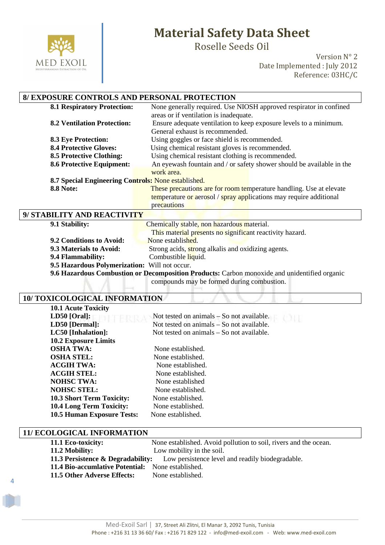

Roselle Seeds Oil

Version N° 2 Date Implemented : July 2012 Reference: 03HC/C

### **8/ EXPOSURE CONTROLS AND PERSONAL PROTECTION**

| <b>8.1 Respiratory Protection:</b>                  | None generally required. Use NIOSH approved respirator in confined    |  |
|-----------------------------------------------------|-----------------------------------------------------------------------|--|
|                                                     | areas or if ventilation is inadequate.                                |  |
| <b>8.2 Ventilation Protection:</b>                  | Ensure adequate ventilation to keep exposure levels to a minimum.     |  |
|                                                     | General exhaust is recommended.                                       |  |
| <b>8.3 Eye Protection:</b>                          | Using goggles or face shield is recommended.                          |  |
| <b>8.4 Protective Gloves:</b>                       | Using chemical resistant gloves is recommended.                       |  |
| <b>8.5 Protective Clothing:</b>                     | Using chemical resistant clothing is recommended.                     |  |
| <b>8.6 Protective Equipment:</b>                    | An eyewash fountain and / or safety shower should be available in the |  |
|                                                     | work area.                                                            |  |
| 8.7 Special Engineering Controls: None established. |                                                                       |  |
| <b>8.8 Note:</b>                                    | These precautions are for room temperature handling. Use at elevate   |  |
|                                                     | temperature or aerosol / spray applications may require additional    |  |
|                                                     | precautions                                                           |  |
| 9/ STABILITY AND REACTIVITY                         |                                                                       |  |

| 9.1 Stability:                                                                               | Chemically stable, non hazardous material.               |  |
|----------------------------------------------------------------------------------------------|----------------------------------------------------------|--|
|                                                                                              | This material presents no significant reactivity hazard. |  |
| 9.2 Conditions to Avoid:                                                                     | None established.                                        |  |
| 9.3 Materials to Avoid:                                                                      | Strong acids, strong alkalis and oxidizing agents.       |  |
| 9.4 Flammability:                                                                            | Combustible liquid.                                      |  |
| 9.5 Hazardous Polymerization: Will not occur.                                                |                                                          |  |
| 9.6 Hazardous Combustion or Decomposition Products: Carbon monoxide and unidentified organic |                                                          |  |

compounds may be formed during combustion.

#### **10/ TOXICOLOGICAL INFORMATION**

| <b>10.1 Acute Toxicity</b>        |                                           |
|-----------------------------------|-------------------------------------------|
| $LD50$ [Oral]:                    | Not tested on animals – So not available. |
| LD50 [Dermal]:                    | Not tested on animals – So not available. |
| LC50 [Inhalation]:                | Not tested on animals – So not available. |
| <b>10.2 Exposure Limits</b>       |                                           |
| <b>OSHA TWA:</b>                  | None established.                         |
| <b>OSHA STEL:</b>                 | None established.                         |
| <b>ACGIH TWA:</b>                 | None established.                         |
| <b>ACGIH STEL:</b>                | None established.                         |
| <b>NOHSC TWA:</b>                 | None established                          |
| <b>NOHSC STEL:</b>                | None established.                         |
| <b>10.3 Short Term Toxicity:</b>  | None established.                         |
| <b>10.4 Long Term Toxicity:</b>   | None established.                         |
| <b>10.5 Human Exposure Tests:</b> | None established.                         |

#### **11/ ECOLOGICAL INFORMATION**

4

| 11.1 Eco-toxicity:                                                                            | None established. Avoid pollution to soil, rivers and the ocean. |  |
|-----------------------------------------------------------------------------------------------|------------------------------------------------------------------|--|
| 11.2 Mobility:                                                                                | Low mobility in the soil.                                        |  |
| <b>11.3 Persistence &amp; Degradability:</b> Low persistence level and readily biodegradable. |                                                                  |  |
| 11.4 Bio-accumlative Potential: None established.                                             |                                                                  |  |
| 11.5 Other Adverse Effects:                                                                   | None established.                                                |  |
|                                                                                               |                                                                  |  |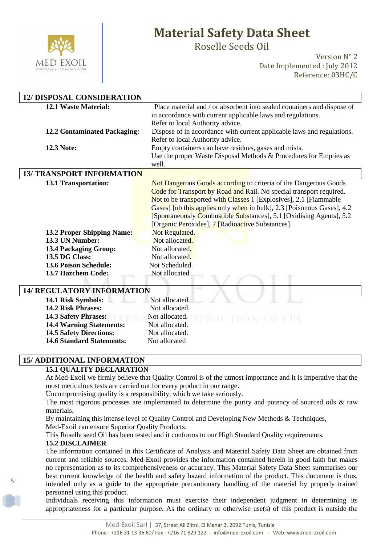

Roselle Seeds Oil

Version N° 2 Date Implemented : July 2012 Reference: 03HC/C

| <b>12/ DISPOSAL CONSIDERATION</b>                                 |                                                                         |  |
|-------------------------------------------------------------------|-------------------------------------------------------------------------|--|
| <b>12.1 Waste Material:</b>                                       | Place material and / or absorbent into sealed containers and dispose of |  |
|                                                                   | in accordance with current applicable laws and regulations.             |  |
|                                                                   | Refer to local Authority advice.                                        |  |
| <b>12.2 Contaminated Packaging:</b>                               | Dispose of in accordance with current applicable laws and regulations.  |  |
|                                                                   | Refer to local Authority advice.                                        |  |
| <b>12.3 Note:</b>                                                 | Empty containers can have residues, gases and mists.                    |  |
|                                                                   | Use the proper Waste Disposal Methods & Procedures for Empties as       |  |
|                                                                   | well.                                                                   |  |
| <b>13/ TRANSPORT INFORMATION</b>                                  |                                                                         |  |
| 13.1 Transportation:                                              | Not Dangerous Goods according to criteria of the Dangerous Goods        |  |
|                                                                   | Code for Transport by Road and Rail. No special transport required.     |  |
|                                                                   | Not to be transported with Classes 1 [Explosives], 2.1 [Flammable       |  |
|                                                                   | Gases] [nb this applies only when in bulk], 2.3 [Poisonous Gases], 4.2  |  |
|                                                                   | [Spontaneously Combustible Substances], 5.1 [Oxidising Agents], 5.2     |  |
|                                                                   | [Organic Peroxides], 7 [Radioactive Substances].                        |  |
| <b>13.2 Proper Shipping Name:</b>                                 | Not Regulated.                                                          |  |
| 13.3 UN Number:                                                   | Not allocated.                                                          |  |
| 13.4 Packaging Group:                                             | Not allocated.                                                          |  |
| 13.5 DG Class:                                                    | Not allocated.                                                          |  |
| <b>13.6 Poison Schedule:</b>                                      | Not Scheduled.                                                          |  |
| 13.7 Hazchem Code:                                                | Not allocated                                                           |  |
| <b>14/ REGULATORY INFORMATION</b>                                 |                                                                         |  |
| 14.1 Risk Symbols:                                                | Not allocated.                                                          |  |
| 14.2 Risk Phrases:                                                | Not allocated.                                                          |  |
| 14.3 Safety Phrases:                                              | Not allocated.                                                          |  |
|                                                                   | Not allocated.                                                          |  |
| <b>14.4 Warning Statements:</b><br><b>14.5 Safety Directions:</b> | Not allocated.                                                          |  |
| <b>14.6 Standard Statements:</b>                                  | Not allocated                                                           |  |
|                                                                   |                                                                         |  |

#### **15/ ADDITIONAL INFORMATION**

#### **15.1 QUALITY DECLARATION**

At Med-Exoil we firmly believe that Quality Control is of the utmost importance and it is imperative that the most meticulous tests are carried out for every product in our range.

Uncompromising quality is a responsibility, which we take seriously.

The most rigorous processes are implemented to determine the purity and potency of sourced oils & raw materials.

By maintaining this intense level of Quality Control and Developing New Methods & Techniques, Med-Exoil can ensure Superior Quality Products.

This Roselle seed Oil has been tested and it conforms to our High Standard Quality requirements.

#### **15.2 DISCLAIMER**

5

The information contained in this Certificate of Analysis and Material Safety Data Sheet are obtained from current and reliable sources. Med-Exoil provides the information contained herein in good faith but makes no representation as to its comprehensiveness or accuracy. This Material Safety Data Sheet summarises our best current knowledge of the health and safety hazard information of the product. This document is thus, intended only as a guide to the appropriate precautionary handling of the material by properly trained personnel using this product.

Individuals receiving this information must exercise their independent judgment in determining its appropriateness for a particular purpose. As the ordinary or otherwise use(s) of this product is outside the